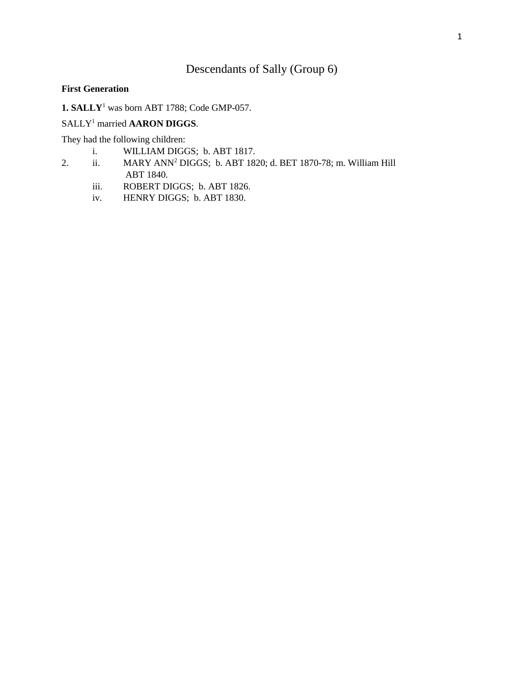# Descendants of Sally (Group 6)

### **First Generation**

**1. SALLY**<sup>1</sup> was born ABT 1788; Code GMP-057.

# SALLY<sup>1</sup> married **AARON DIGGS**.

They had the following children:

- i. WILLIAM DIGGS; b. ABT 1817.
- 2. ii. MARY ANN<sup>2</sup> DIGGS; b. ABT 1820; d. BET 1870-78; m. William Hill ABT 1840.
	- iii. ROBERT DIGGS; b. ABT 1826.
	- iv. HENRY DIGGS; b. ABT 1830.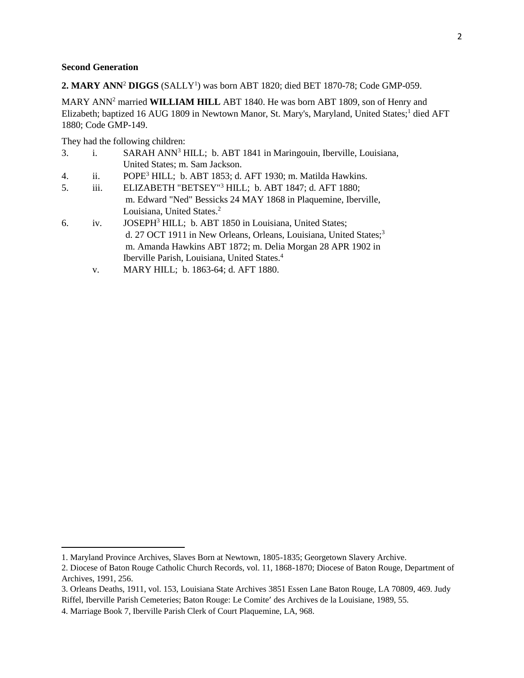#### **Second Generation**

 $\overline{\phantom{a}}$ 

**2. MARY ANN**<sup>2</sup> **DIGGS** (SALLY<sup>1</sup> ) was born ABT 1820; died BET 1870-78; Code GMP-059.

MARY ANN<sup>2</sup> married **WILLIAM HILL** ABT 1840. He was born ABT 1809, son of Henry and Elizabeth; baptized 16 AUG 1809 in Newtown Manor, St. Mary's, Maryland, United States;<sup>1</sup> died AFT 1880; Code GMP-149.

They had the following children:

- 3. i. SARAH ANN<sup>3</sup> HILL; b. ABT 1841 in Maringouin, Iberville, Louisiana, United States; m. Sam Jackson.
- 4. ii. POPE<sup>3</sup> HILL; b. ABT 1853; d. AFT 1930; m. Matilda Hawkins.
- 5. iii. ELIZABETH "BETSEY"<sup>3</sup> HILL; b. ABT 1847; d. AFT 1880; m. Edward "Ned" Bessicks 24 MAY 1868 in Plaquemine, Iberville, Louisiana, United States.<sup>2</sup>
- 6. iv. JOSEPH<sup>3</sup> HILL; b. ABT 1850 in Louisiana, United States; d. 27 OCT 1911 in New Orleans, Orleans, Louisiana, United States;<sup>3</sup> m. Amanda Hawkins ABT 1872; m. Delia Morgan 28 APR 1902 in Iberville Parish, Louisiana, United States.<sup>4</sup>
	- v. MARY HILL; b. 1863-64; d. AFT 1880.

<sup>1.</sup> Maryland Province Archives, Slaves Born at Newtown, 1805-1835; Georgetown Slavery Archive.

<sup>2.</sup> Diocese of Baton Rouge Catholic Church Records, vol. 11, 1868-1870; Diocese of Baton Rouge, Department of Archives, 1991, 256.

<sup>3.</sup> Orleans Deaths, 1911, vol. 153, Louisiana State Archives 3851 Essen Lane Baton Rouge, LA 70809, 469. Judy Riffel, Iberville Parish Cemeteries; Baton Rouge: Le Comite' des Archives de la Louisiane, 1989, 55.

<sup>4.</sup> Marriage Book 7, Iberville Parish Clerk of Court Plaquemine, LA, 968.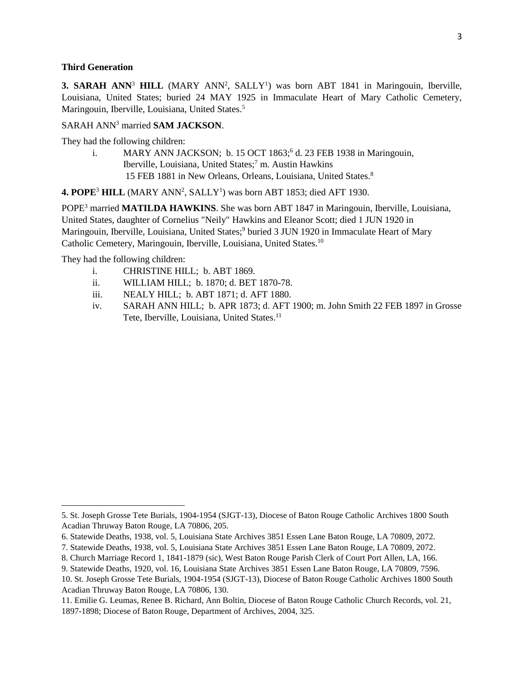#### **Third Generation**

**3. SARAH ANN<sup>3</sup> HILL** (MARY ANN<sup>2</sup>, SALLY<sup>1</sup>) was born ABT 1841 in Maringouin, Iberville, Louisiana, United States; buried 24 MAY 1925 in Immaculate Heart of Mary Catholic Cemetery, Maringouin, Iberville, Louisiana, United States.<sup>5</sup>

## SARAH ANN<sup>3</sup> married **SAM JACKSON**.

They had the following children:

i. MARY ANN JACKSON; b. 15 OCT 1863;<sup>6</sup> d. 23 FEB 1938 in Maringouin, Iberville, Louisiana, United States;<sup>7</sup> m. Austin Hawkins 15 FEB 1881 in New Orleans, Orleans, Louisiana, United States.<sup>8</sup>

4. POPE<sup>3</sup> HILL (MARY ANN<sup>2</sup>, SALLY<sup>1</sup>) was born ABT 1853; died AFT 1930.

POPE<sup>3</sup> married **MATILDA HAWKINS**. She was born ABT 1847 in Maringouin, Iberville, Louisiana, United States, daughter of Cornelius "Neily" Hawkins and Eleanor Scott; died 1 JUN 1920 in Maringouin, Iberville, Louisiana, United States;<sup>9</sup> buried 3 JUN 1920 in Immaculate Heart of Mary Catholic Cemetery, Maringouin, Iberville, Louisiana, United States.<sup>10</sup>

They had the following children:

- i. CHRISTINE HILL; b. ABT 1869.
- ii. WILLIAM HILL; b. 1870; d. BET 1870-78.
- iii. NEALY HILL; b. ABT 1871; d. AFT 1880.
- iv. SARAH ANN HILL; b. APR 1873; d. AFT 1900; m. John Smith 22 FEB 1897 in Grosse Tete, Iberville, Louisiana, United States.<sup>11</sup>

<sup>5.</sup> St. Joseph Grosse Tete Burials, 1904-1954 (SJGT-13), Diocese of Baton Rouge Catholic Archives 1800 South Acadian Thruway Baton Rouge, LA 70806, 205.

<sup>6.</sup> Statewide Deaths, 1938, vol. 5, Louisiana State Archives 3851 Essen Lane Baton Rouge, LA 70809, 2072.

<sup>7.</sup> Statewide Deaths, 1938, vol. 5, Louisiana State Archives 3851 Essen Lane Baton Rouge, LA 70809, 2072.

<sup>8.</sup> Church Marriage Record 1, 1841-1879 (sic), West Baton Rouge Parish Clerk of Court Port Allen, LA, 166.

<sup>9.</sup> Statewide Deaths, 1920, vol. 16, Louisiana State Archives 3851 Essen Lane Baton Rouge, LA 70809, 7596.

<sup>10.</sup> St. Joseph Grosse Tete Burials, 1904-1954 (SJGT-13), Diocese of Baton Rouge Catholic Archives 1800 South Acadian Thruway Baton Rouge, LA 70806, 130.

<sup>11.</sup> Emilie G. Leumas, Renee B. Richard, Ann Boltin, Diocese of Baton Rouge Catholic Church Records, vol. 21, 1897-1898; Diocese of Baton Rouge, Department of Archives, 2004, 325.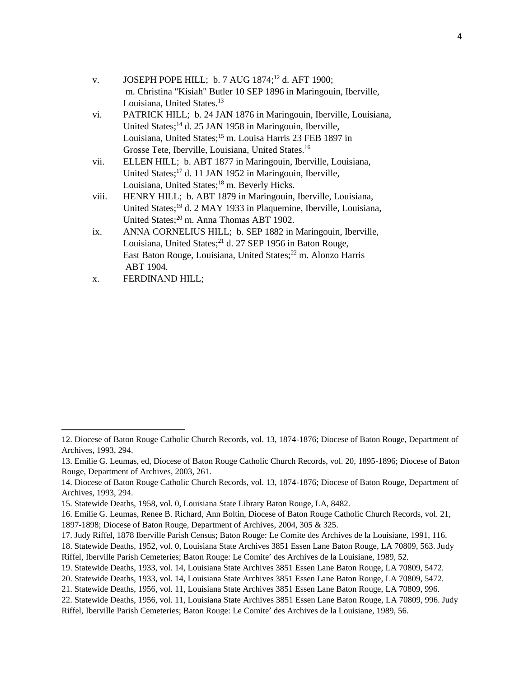| V. | JOSEPH POPE HILL; b. 7 AUG 1874; <sup>12</sup> d. AFT 1900;        |
|----|--------------------------------------------------------------------|
|    | m. Christina "Kisiah" Butler 10 SEP 1896 in Maringouin, Iberville, |
|    | Louisiana, United States. <sup>13</sup>                            |

- vi. PATRICK HILL; b. 24 JAN 1876 in Maringouin, Iberville, Louisiana, United States;<sup>14</sup> d. 25 JAN 1958 in Maringouin, Iberville, Louisiana, United States;<sup>15</sup> m. Louisa Harris 23 FEB 1897 in Grosse Tete, Iberville, Louisiana, United States.<sup>16</sup>
- vii. ELLEN HILL; b. ABT 1877 in Maringouin, Iberville, Louisiana, United States;<sup>17</sup> d. 11 JAN 1952 in Maringouin, Iberville, Louisiana, United States;<sup>18</sup> m. Beverly Hicks.
- viii. HENRY HILL; b. ABT 1879 in Maringouin, Iberville, Louisiana, United States;<sup>19</sup> d. 2 MAY 1933 in Plaquemine, Iberville, Louisiana, United States;<sup>20</sup> m. Anna Thomas ABT 1902.
- ix. ANNA CORNELIUS HILL; b. SEP 1882 in Maringouin, Iberville, Louisiana, United States;<sup>21</sup> d. 27 SEP 1956 in Baton Rouge, East Baton Rouge, Louisiana, United States;<sup>22</sup> m. Alonzo Harris ABT 1904.
- x. FERDINAND HILL;

<sup>12.</sup> Diocese of Baton Rouge Catholic Church Records, vol. 13, 1874-1876; Diocese of Baton Rouge, Department of Archives, 1993, 294.

<sup>13.</sup> Emilie G. Leumas, ed, Diocese of Baton Rouge Catholic Church Records, vol. 20, 1895-1896; Diocese of Baton Rouge, Department of Archives, 2003, 261.

<sup>14.</sup> Diocese of Baton Rouge Catholic Church Records, vol. 13, 1874-1876; Diocese of Baton Rouge, Department of Archives, 1993, 294.

<sup>15.</sup> Statewide Deaths, 1958, vol. 0, Louisiana State Library Baton Rouge, LA, 8482.

<sup>16.</sup> Emilie G. Leumas, Renee B. Richard, Ann Boltin, Diocese of Baton Rouge Catholic Church Records, vol. 21, 1897-1898; Diocese of Baton Rouge, Department of Archives, 2004, 305 & 325.

<sup>17.</sup> Judy Riffel, 1878 Iberville Parish Census; Baton Rouge: Le Comite des Archives de la Louisiane, 1991, 116.

<sup>18.</sup> Statewide Deaths, 1952, vol. 0, Louisiana State Archives 3851 Essen Lane Baton Rouge, LA 70809, 563. Judy Riffel, Iberville Parish Cemeteries; Baton Rouge: Le Comite' des Archives de la Louisiane, 1989, 52.

<sup>19.</sup> Statewide Deaths, 1933, vol. 14, Louisiana State Archives 3851 Essen Lane Baton Rouge, LA 70809, 5472.

<sup>20.</sup> Statewide Deaths, 1933, vol. 14, Louisiana State Archives 3851 Essen Lane Baton Rouge, LA 70809, 5472.

<sup>21.</sup> Statewide Deaths, 1956, vol. 11, Louisiana State Archives 3851 Essen Lane Baton Rouge, LA 70809, 996.

<sup>22.</sup> Statewide Deaths, 1956, vol. 11, Louisiana State Archives 3851 Essen Lane Baton Rouge, LA 70809, 996. Judy Riffel, Iberville Parish Cemeteries; Baton Rouge: Le Comite' des Archives de la Louisiane, 1989, 56.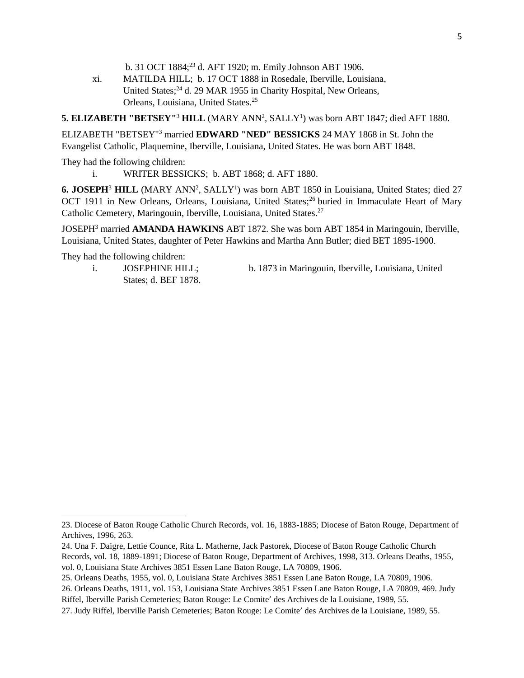b. 31 OCT 1884;<sup>23</sup> d. AFT 1920; m. Emily Johnson ABT 1906.

xi. MATILDA HILL; b. 17 OCT 1888 in Rosedale, Iberville, Louisiana, United States;<sup>24</sup> d. 29 MAR 1955 in Charity Hospital, New Orleans, Orleans, Louisiana, United States.<sup>25</sup>

**5. ELIZABETH "BETSEY"<sup>3</sup> HILL** (MARY ANN<sup>2</sup>, SALLY<sup>1</sup>) was born ABT 1847; died AFT 1880.

ELIZABETH "BETSEY"<sup>3</sup> married **EDWARD "NED" BESSICKS** 24 MAY 1868 in St. John the Evangelist Catholic, Plaquemine, Iberville, Louisiana, United States. He was born ABT 1848.

They had the following children:

i. WRITER BESSICKS; b. ABT 1868; d. AFT 1880.

**6. JOSEPH<sup>3</sup> HILL** (MARY ANN<sup>2</sup>, SALLY<sup>1</sup>) was born ABT 1850 in Louisiana, United States; died 27 OCT 1911 in New Orleans, Orleans, Louisiana, United States;<sup>26</sup> buried in Immaculate Heart of Mary Catholic Cemetery, Maringouin, Iberville, Louisiana, United States.<sup>27</sup>

JOSEPH<sup>3</sup> married **AMANDA HAWKINS** ABT 1872. She was born ABT 1854 in Maringouin, Iberville, Louisiana, United States, daughter of Peter Hawkins and Martha Ann Butler; died BET 1895-1900.

They had the following children:

- States; d. BEF 1878.
- i. JOSEPHINE HILL; b. 1873 in Maringouin, Iberville, Louisiana, United

<sup>23.</sup> Diocese of Baton Rouge Catholic Church Records, vol. 16, 1883-1885; Diocese of Baton Rouge, Department of Archives, 1996, 263.

<sup>24.</sup> Una F. Daigre, Lettie Counce, Rita L. Matherne, Jack Pastorek, Diocese of Baton Rouge Catholic Church Records, vol. 18, 1889-1891; Diocese of Baton Rouge, Department of Archives, 1998, 313. Orleans Deaths, 1955, vol. 0, Louisiana State Archives 3851 Essen Lane Baton Rouge, LA 70809, 1906.

<sup>25.</sup> Orleans Deaths, 1955, vol. 0, Louisiana State Archives 3851 Essen Lane Baton Rouge, LA 70809, 1906.

<sup>26.</sup> Orleans Deaths, 1911, vol. 153, Louisiana State Archives 3851 Essen Lane Baton Rouge, LA 70809, 469. Judy Riffel, Iberville Parish Cemeteries; Baton Rouge: Le Comite' des Archives de la Louisiane, 1989, 55.

<sup>27.</sup> Judy Riffel, Iberville Parish Cemeteries; Baton Rouge: Le Comite' des Archives de la Louisiane, 1989, 55.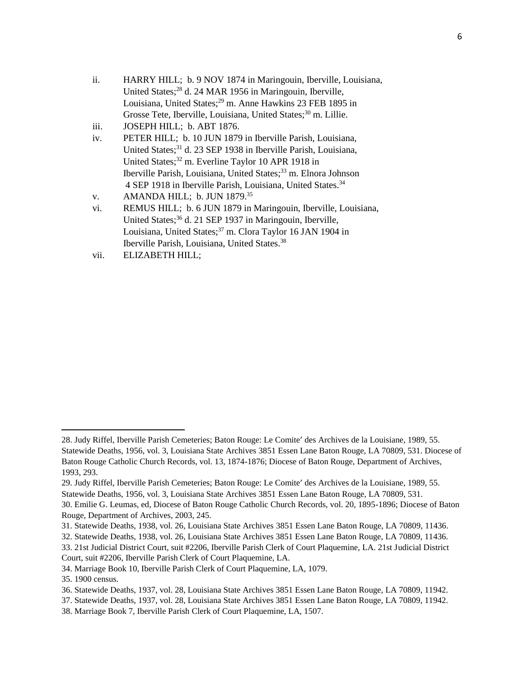- ii. HARRY HILL; b. 9 NOV 1874 in Maringouin, Iberville, Louisiana, United States;<sup>28</sup> d. 24 MAR 1956 in Maringouin, Iberville, Louisiana, United States;<sup>29</sup> m. Anne Hawkins 23 FEB 1895 in Grosse Tete, Iberville, Louisiana, United States;<sup>30</sup> m. Lillie.
- iii. JOSEPH HILL; b. ABT 1876.
- iv. PETER HILL; b. 10 JUN 1879 in Iberville Parish, Louisiana, United States;<sup>31</sup> d. 23 SEP 1938 in Iberville Parish, Louisiana, United States;<sup>32</sup> m. Everline Taylor 10 APR 1918 in Iberville Parish, Louisiana, United States;<sup>33</sup> m. Elnora Johnson 4 SEP 1918 in Iberville Parish, Louisiana, United States.<sup>34</sup>

- vi. REMUS HILL; b. 6 JUN 1879 in Maringouin, Iberville, Louisiana, United States;<sup>36</sup> d. 21 SEP 1937 in Maringouin, Iberville, Louisiana, United States;<sup>37</sup> m. Clora Taylor 16 JAN 1904 in Iberville Parish, Louisiana, United States.<sup>38</sup>
- vii. ELIZABETH HILL;

v. AMANDA HILL; b. JUN 1879.<sup>35</sup>

<sup>28.</sup> Judy Riffel, Iberville Parish Cemeteries; Baton Rouge: Le Comite' des Archives de la Louisiane, 1989, 55. Statewide Deaths, 1956, vol. 3, Louisiana State Archives 3851 Essen Lane Baton Rouge, LA 70809, 531. Diocese of Baton Rouge Catholic Church Records, vol. 13, 1874-1876; Diocese of Baton Rouge, Department of Archives, 1993, 293.

<sup>29.</sup> Judy Riffel, Iberville Parish Cemeteries; Baton Rouge: Le Comite' des Archives de la Louisiane, 1989, 55. Statewide Deaths, 1956, vol. 3, Louisiana State Archives 3851 Essen Lane Baton Rouge, LA 70809, 531. 30. Emilie G. Leumas, ed, Diocese of Baton Rouge Catholic Church Records, vol. 20, 1895-1896; Diocese of Baton

Rouge, Department of Archives, 2003, 245.

<sup>31.</sup> Statewide Deaths, 1938, vol. 26, Louisiana State Archives 3851 Essen Lane Baton Rouge, LA 70809, 11436.

<sup>32.</sup> Statewide Deaths, 1938, vol. 26, Louisiana State Archives 3851 Essen Lane Baton Rouge, LA 70809, 11436. 33. 21st Judicial District Court, suit #2206, Iberville Parish Clerk of Court Plaquemine, LA. 21st Judicial District

Court, suit #2206, Iberville Parish Clerk of Court Plaquemine, LA.

<sup>34.</sup> Marriage Book 10, Iberville Parish Clerk of Court Plaquemine, LA, 1079.

<sup>35. 1900</sup> census.

<sup>36.</sup> Statewide Deaths, 1937, vol. 28, Louisiana State Archives 3851 Essen Lane Baton Rouge, LA 70809, 11942.

<sup>37.</sup> Statewide Deaths, 1937, vol. 28, Louisiana State Archives 3851 Essen Lane Baton Rouge, LA 70809, 11942.

<sup>38.</sup> Marriage Book 7, Iberville Parish Clerk of Court Plaquemine, LA, 1507.